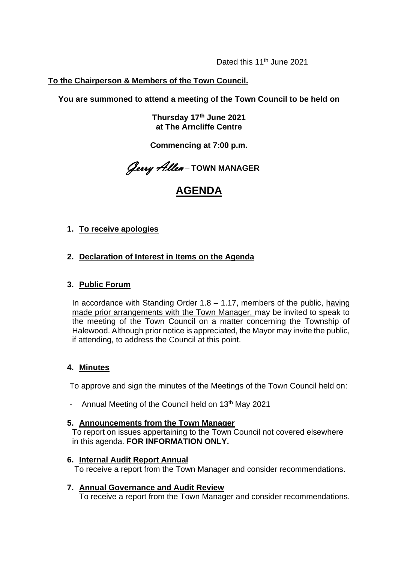Dated this 11<sup>th</sup> June 2021

## **To the Chairperson & Members of the Town Council.**

**You are summoned to attend a meeting of the Town Council to be held on**

**Thursday 17th June 2021 at The Arncliffe Centre** 

**Commencing at 7:00 p.m.**

Gerry Allen – **TOWN MANAGER**

# **AGENDA**

## **1. To receive apologies**

## **2. Declaration of Interest in Items on the Agenda**

### **3. Public Forum**

In accordance with Standing Order  $1.8 - 1.17$ , members of the public, having made prior arrangements with the Town Manager, may be invited to speak to the meeting of the Town Council on a matter concerning the Township of Halewood. Although prior notice is appreciated, the Mayor may invite the public, if attending, to address the Council at this point.

## **4. Minutes**

To approve and sign the minutes of the Meetings of the Town Council held on:

- Annual Meeting of the Council held on 13<sup>th</sup> May 2021

#### **5. Announcements from the Town Manager**

To report on issues appertaining to the Town Council not covered elsewhere in this agenda. **FOR INFORMATION ONLY.**

#### **6. Internal Audit Report Annual**

To receive a report from the Town Manager and consider recommendations.

#### **7. Annual Governance and Audit Review**

To receive a report from the Town Manager and consider recommendations.